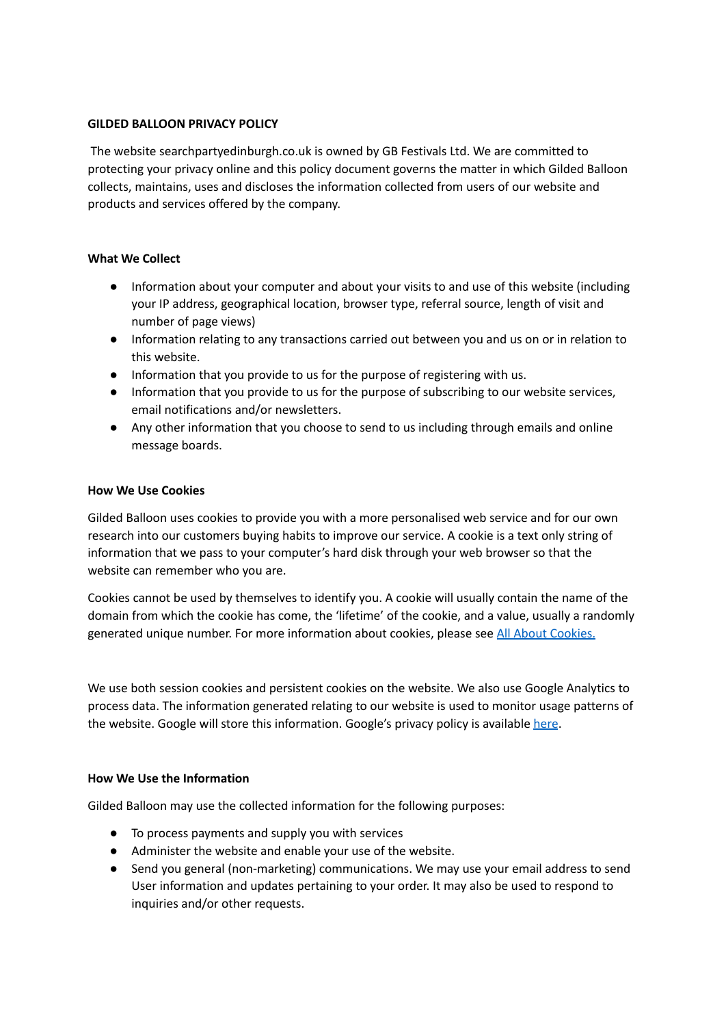## **GILDED BALLOON PRIVACY POLICY**

The website searchpartyedinburgh.co.uk is owned by GB Festivals Ltd. We are committed to protecting your privacy online and this policy document governs the matter in which Gilded Balloon collects, maintains, uses and discloses the information collected from users of our website and products and services offered by the company.

#### **What We Collect**

- Information about your computer and about your visits to and use of this website (including your IP address, geographical location, browser type, referral source, length of visit and number of page views)
- Information relating to any transactions carried out between you and us on or in relation to this website.
- Information that you provide to us for the purpose of registering with us.
- Information that you provide to us for the purpose of subscribing to our website services, email notifications and/or newsletters.
- Any other information that you choose to send to us including through emails and online message boards.

## **How We Use Cookies**

Gilded Balloon uses cookies to provide you with a more personalised web service and for our own research into our customers buying habits to improve our service. A cookie is a text only string of information that we pass to your computer's hard disk through your web browser so that the website can remember who you are.

Cookies cannot be used by themselves to identify you. A cookie will usually contain the name of the domain from which the cookie has come, the 'lifetime' of the cookie, and a value, usually a randomly generated unique number. For more information about cookies, please see All About [Cookies.](https://www.allaboutcookies.org/)

We use both session cookies and persistent cookies on the website. We also use Google Analytics to process data. The information generated relating to our website is used to monitor usage patterns of the website. Google will store this information. Google's privacy policy is available [here](https://policies.google.com/privacy).

#### **How We Use the Information**

Gilded Balloon may use the collected information for the following purposes:

- To process payments and supply you with services
- Administer the website and enable your use of the website.
- Send you general (non-marketing) communications. We may use your email address to send User information and updates pertaining to your order. It may also be used to respond to inquiries and/or other requests.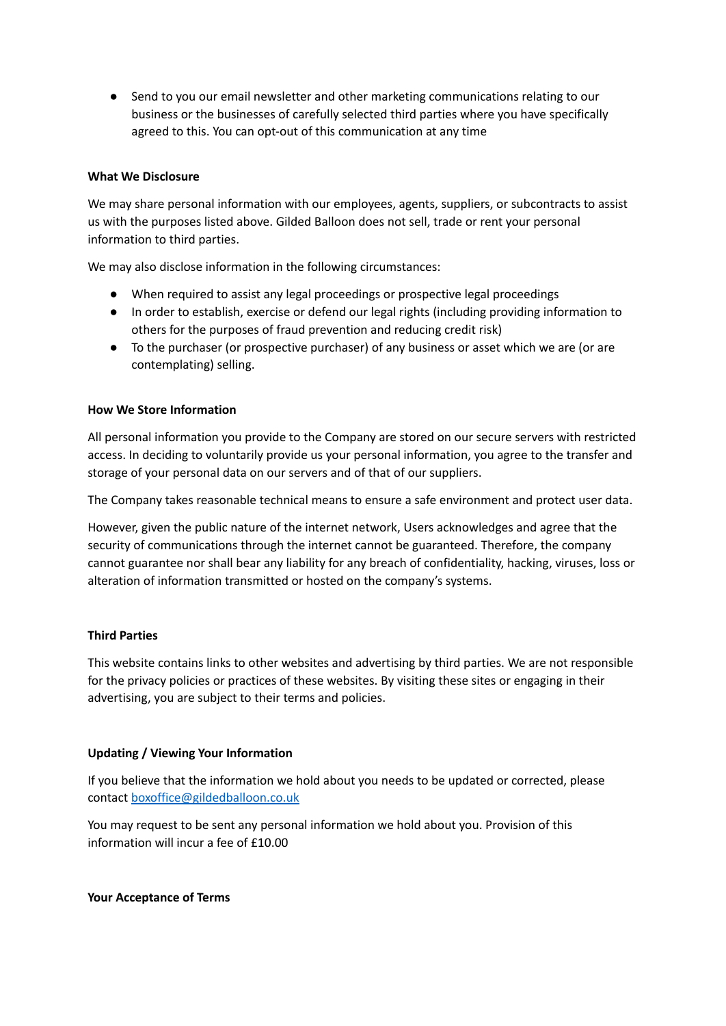● Send to you our email newsletter and other marketing communications relating to our business or the businesses of carefully selected third parties where you have specifically agreed to this. You can opt-out of this communication at any time

## **What We Disclosure**

We may share personal information with our employees, agents, suppliers, or subcontracts to assist us with the purposes listed above. Gilded Balloon does not sell, trade or rent your personal information to third parties.

We may also disclose information in the following circumstances:

- When required to assist any legal proceedings or prospective legal proceedings
- In order to establish, exercise or defend our legal rights (including providing information to others for the purposes of fraud prevention and reducing credit risk)
- To the purchaser (or prospective purchaser) of any business or asset which we are (or are contemplating) selling.

## **How We Store Information**

All personal information you provide to the Company are stored on our secure servers with restricted access. In deciding to voluntarily provide us your personal information, you agree to the transfer and storage of your personal data on our servers and of that of our suppliers.

The Company takes reasonable technical means to ensure a safe environment and protect user data.

However, given the public nature of the internet network, Users acknowledges and agree that the security of communications through the internet cannot be guaranteed. Therefore, the company cannot guarantee nor shall bear any liability for any breach of confidentiality, hacking, viruses, loss or alteration of information transmitted or hosted on the company's systems.

#### **Third Parties**

This website contains links to other websites and advertising by third parties. We are not responsible for the privacy policies or practices of these websites. By visiting these sites or engaging in their advertising, you are subject to their terms and policies.

## **Updating / Viewing Your Information**

If you believe that the information we hold about you needs to be updated or corrected, please contact [boxoffice@gildedballoon.co.uk](mailto:boxoffice@gildedballoon.co.uk)

You may request to be sent any personal information we hold about you. Provision of this information will incur a fee of £10.00

**Your Acceptance of Terms**